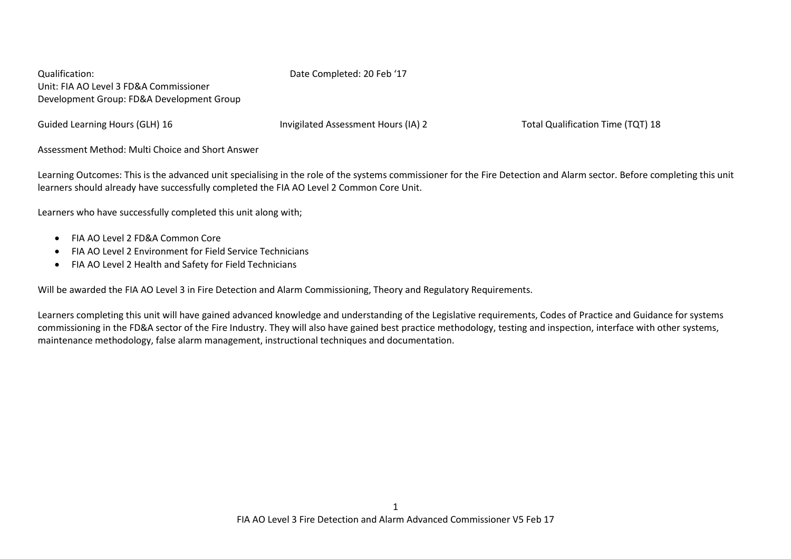Qualification: Date Completed: 20 Feb '17 Unit: FIA AO Level 3 FD&A Commissioner Development Group: FD&A Development Group

Guided Learning Hours (GLH) 16 **Invigilated Assessment Hours (IA) 2** Total Qualification Time (TQT) 18

Assessment Method: Multi Choice and Short Answer

Learning Outcomes: This is the advanced unit specialising in the role of the systems commissioner for the Fire Detection and Alarm sector. Before completing this unit learners should already have successfully completed the FIA AO Level 2 Common Core Unit.

Learners who have successfully completed this unit along with;

- FIA AO Level 2 FD&A Common Core
- FIA AO Level 2 Environment for Field Service Technicians
- FIA AO Level 2 Health and Safety for Field Technicians

Will be awarded the FIA AO Level 3 in Fire Detection and Alarm Commissioning, Theory and Regulatory Requirements.

Learners completing this unit will have gained advanced knowledge and understanding of the Legislative requirements, Codes of Practice and Guidance for systems commissioning in the FD&A sector of the Fire Industry. They will also have gained best practice methodology, testing and inspection, interface with other systems, maintenance methodology, false alarm management, instructional techniques and documentation.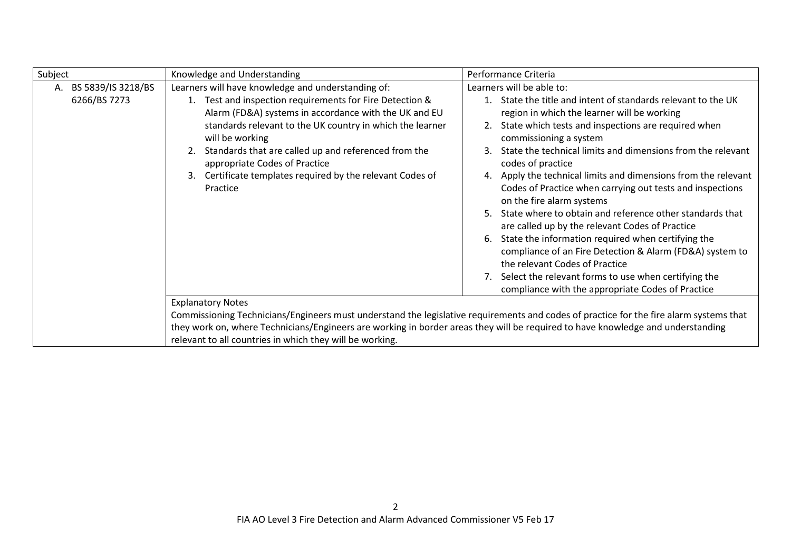| Subject                                  | Knowledge and Understanding                                                                                                                                                                                                                                                                                                                                                                                                      | Performance Criteria                                                                                                                                                                                                                                                                                                                                                                                                                                                                                                                                                                                                                                                                                                                                                                                                                                          |
|------------------------------------------|----------------------------------------------------------------------------------------------------------------------------------------------------------------------------------------------------------------------------------------------------------------------------------------------------------------------------------------------------------------------------------------------------------------------------------|---------------------------------------------------------------------------------------------------------------------------------------------------------------------------------------------------------------------------------------------------------------------------------------------------------------------------------------------------------------------------------------------------------------------------------------------------------------------------------------------------------------------------------------------------------------------------------------------------------------------------------------------------------------------------------------------------------------------------------------------------------------------------------------------------------------------------------------------------------------|
| BS 5839/IS 3218/BS<br>А.<br>6266/BS 7273 | Learners will have knowledge and understanding of:<br>Test and inspection requirements for Fire Detection &<br>1.<br>Alarm (FD&A) systems in accordance with the UK and EU<br>standards relevant to the UK country in which the learner<br>will be working<br>Standards that are called up and referenced from the<br>appropriate Codes of Practice<br>Certificate templates required by the relevant Codes of<br>3.<br>Practice | Learners will be able to:<br>1. State the title and intent of standards relevant to the UK<br>region in which the learner will be working<br>State which tests and inspections are required when<br>commissioning a system<br>State the technical limits and dimensions from the relevant<br>codes of practice<br>4. Apply the technical limits and dimensions from the relevant<br>Codes of Practice when carrying out tests and inspections<br>on the fire alarm systems<br>State where to obtain and reference other standards that<br>are called up by the relevant Codes of Practice<br>State the information required when certifying the<br>compliance of an Fire Detection & Alarm (FD&A) system to<br>the relevant Codes of Practice<br>7. Select the relevant forms to use when certifying the<br>compliance with the appropriate Codes of Practice |
|                                          | <b>Explanatory Notes</b><br>they work on, where Technicians/Engineers are working in border areas they will be required to have knowledge and understanding<br>relevant to all countries in which they will be working.                                                                                                                                                                                                          | Commissioning Technicians/Engineers must understand the legislative requirements and codes of practice for the fire alarm systems that                                                                                                                                                                                                                                                                                                                                                                                                                                                                                                                                                                                                                                                                                                                        |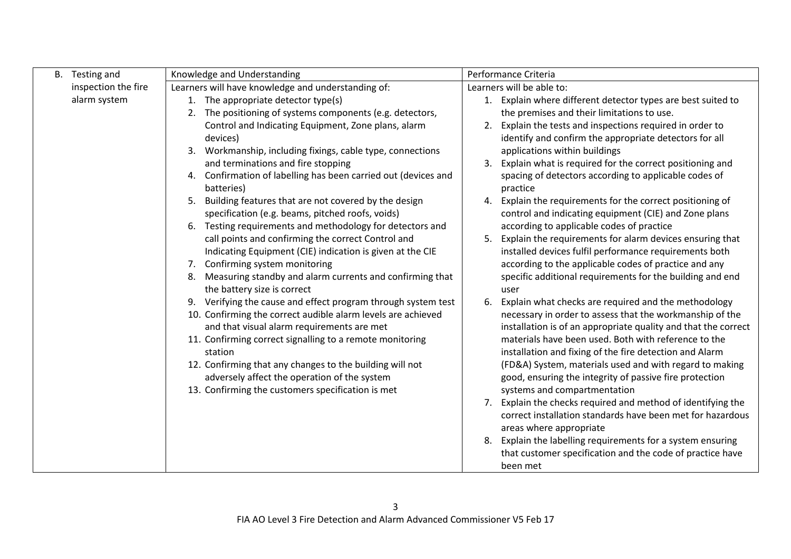| B. | Testing and         | Knowledge and Understanding                                                                                                                                                                                                                                                                                                                                                                                                                        |    | Performance Criteria                                                                                                                                                                                                                                                                                                                                                                                                                                                |
|----|---------------------|----------------------------------------------------------------------------------------------------------------------------------------------------------------------------------------------------------------------------------------------------------------------------------------------------------------------------------------------------------------------------------------------------------------------------------------------------|----|---------------------------------------------------------------------------------------------------------------------------------------------------------------------------------------------------------------------------------------------------------------------------------------------------------------------------------------------------------------------------------------------------------------------------------------------------------------------|
|    | inspection the fire | Learners will have knowledge and understanding of:                                                                                                                                                                                                                                                                                                                                                                                                 |    | Learners will be able to:                                                                                                                                                                                                                                                                                                                                                                                                                                           |
|    | alarm system        | 1. The appropriate detector type(s)<br>The positioning of systems components (e.g. detectors,<br>2.                                                                                                                                                                                                                                                                                                                                                | 1. | Explain where different detector types are best suited to<br>the premises and their limitations to use.                                                                                                                                                                                                                                                                                                                                                             |
|    |                     | Control and Indicating Equipment, Zone plans, alarm<br>devices)<br>Workmanship, including fixings, cable type, connections<br>3.                                                                                                                                                                                                                                                                                                                   | 2. | Explain the tests and inspections required in order to<br>identify and confirm the appropriate detectors for all<br>applications within buildings                                                                                                                                                                                                                                                                                                                   |
|    |                     | and terminations and fire stopping<br>4. Confirmation of labelling has been carried out (devices and<br>batteries)                                                                                                                                                                                                                                                                                                                                 | 3. | Explain what is required for the correct positioning and<br>spacing of detectors according to applicable codes of<br>practice                                                                                                                                                                                                                                                                                                                                       |
|    |                     | Building features that are not covered by the design<br>5.<br>specification (e.g. beams, pitched roofs, voids)<br>6. Testing requirements and methodology for detectors and                                                                                                                                                                                                                                                                        | 4. | Explain the requirements for the correct positioning of<br>control and indicating equipment (CIE) and Zone plans<br>according to applicable codes of practice                                                                                                                                                                                                                                                                                                       |
|    |                     | call points and confirming the correct Control and<br>Indicating Equipment (CIE) indication is given at the CIE<br>7. Confirming system monitoring<br>8. Measuring standby and alarm currents and confirming that                                                                                                                                                                                                                                  | 5. | Explain the requirements for alarm devices ensuring that<br>installed devices fulfil performance requirements both<br>according to the applicable codes of practice and any<br>specific additional requirements for the building and end                                                                                                                                                                                                                            |
|    |                     | the battery size is correct<br>9. Verifying the cause and effect program through system test<br>10. Confirming the correct audible alarm levels are achieved<br>and that visual alarm requirements are met<br>11. Confirming correct signalling to a remote monitoring<br>station<br>12. Confirming that any changes to the building will not<br>adversely affect the operation of the system<br>13. Confirming the customers specification is met | 6. | user<br>Explain what checks are required and the methodology<br>necessary in order to assess that the workmanship of the<br>installation is of an appropriate quality and that the correct<br>materials have been used. Both with reference to the<br>installation and fixing of the fire detection and Alarm<br>(FD&A) System, materials used and with regard to making<br>good, ensuring the integrity of passive fire protection<br>systems and compartmentation |
|    |                     |                                                                                                                                                                                                                                                                                                                                                                                                                                                    | 7. | Explain the checks required and method of identifying the<br>correct installation standards have been met for hazardous<br>areas where appropriate                                                                                                                                                                                                                                                                                                                  |
|    |                     |                                                                                                                                                                                                                                                                                                                                                                                                                                                    | 8. | Explain the labelling requirements for a system ensuring<br>that customer specification and the code of practice have<br>been met                                                                                                                                                                                                                                                                                                                                   |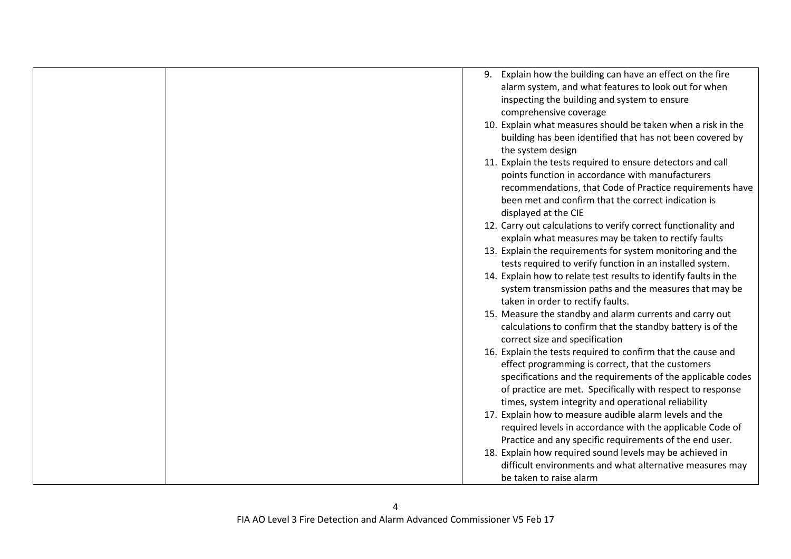| 9. Explain how the building can have an effect on the fire       |
|------------------------------------------------------------------|
| alarm system, and what features to look out for when             |
| inspecting the building and system to ensure                     |
| comprehensive coverage                                           |
| 10. Explain what measures should be taken when a risk in the     |
| building has been identified that has not been covered by        |
| the system design                                                |
| 11. Explain the tests required to ensure detectors and call      |
| points function in accordance with manufacturers                 |
| recommendations, that Code of Practice requirements have         |
| been met and confirm that the correct indication is              |
| displayed at the CIE                                             |
| 12. Carry out calculations to verify correct functionality and   |
| explain what measures may be taken to rectify faults             |
| 13. Explain the requirements for system monitoring and the       |
| tests required to verify function in an installed system.        |
| 14. Explain how to relate test results to identify faults in the |
| system transmission paths and the measures that may be           |
| taken in order to rectify faults.                                |
| 15. Measure the standby and alarm currents and carry out         |
| calculations to confirm that the standby battery is of the       |
| correct size and specification                                   |
| 16. Explain the tests required to confirm that the cause and     |
| effect programming is correct, that the customers                |
| specifications and the requirements of the applicable codes      |
| of practice are met. Specifically with respect to response       |
| times, system integrity and operational reliability              |
| 17. Explain how to measure audible alarm levels and the          |
| required levels in accordance with the applicable Code of        |
| Practice and any specific requirements of the end user.          |
|                                                                  |
| 18. Explain how required sound levels may be achieved in         |
| difficult environments and what alternative measures may         |
| be taken to raise alarm                                          |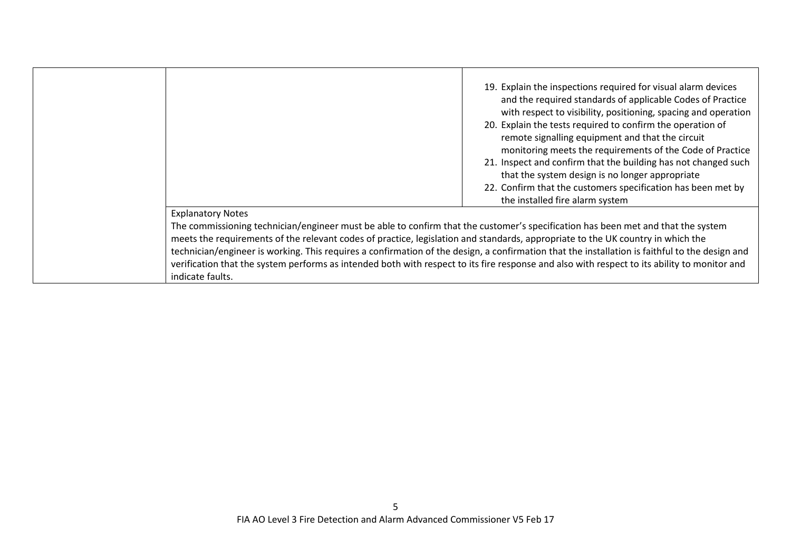|                                                                                                                                                                                                                                                                                                                                                                                                                                                                                                                                                                                                                       | 19. Explain the inspections required for visual alarm devices<br>and the required standards of applicable Codes of Practice<br>with respect to visibility, positioning, spacing and operation<br>20. Explain the tests required to confirm the operation of<br>remote signalling equipment and that the circuit<br>monitoring meets the requirements of the Code of Practice<br>21. Inspect and confirm that the building has not changed such<br>that the system design is no longer appropriate<br>22. Confirm that the customers specification has been met by<br>the installed fire alarm system |
|-----------------------------------------------------------------------------------------------------------------------------------------------------------------------------------------------------------------------------------------------------------------------------------------------------------------------------------------------------------------------------------------------------------------------------------------------------------------------------------------------------------------------------------------------------------------------------------------------------------------------|------------------------------------------------------------------------------------------------------------------------------------------------------------------------------------------------------------------------------------------------------------------------------------------------------------------------------------------------------------------------------------------------------------------------------------------------------------------------------------------------------------------------------------------------------------------------------------------------------|
| <b>Explanatory Notes</b><br>The commissioning technician/engineer must be able to confirm that the customer's specification has been met and that the system<br>meets the requirements of the relevant codes of practice, legislation and standards, appropriate to the UK country in which the<br>technician/engineer is working. This requires a confirmation of the design, a confirmation that the installation is faithful to the design and<br>verification that the system performs as intended both with respect to its fire response and also with respect to its ability to monitor and<br>indicate faults. |                                                                                                                                                                                                                                                                                                                                                                                                                                                                                                                                                                                                      |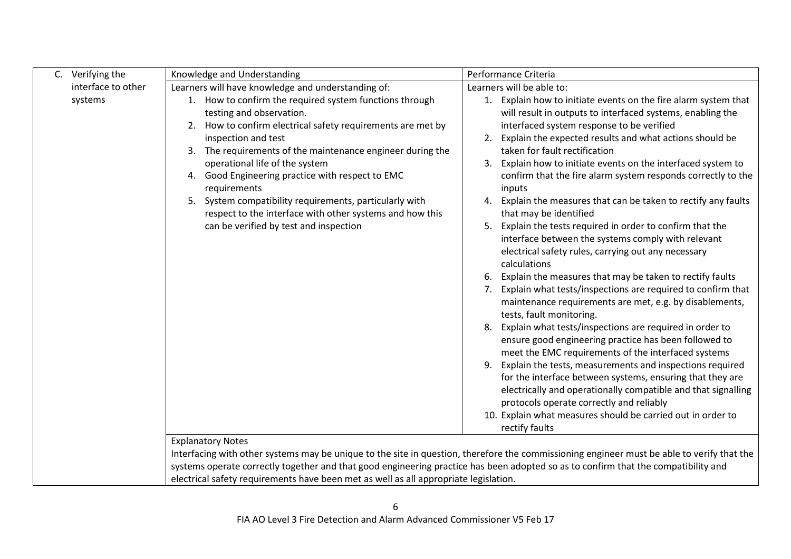| C. Verifying the   | Knowledge and Understanding                                                                                                                                                                                                                            | Performance Criteria                                                                                                                                                                                                                     |
|--------------------|--------------------------------------------------------------------------------------------------------------------------------------------------------------------------------------------------------------------------------------------------------|------------------------------------------------------------------------------------------------------------------------------------------------------------------------------------------------------------------------------------------|
| interface to other | Learners will have knowledge and understanding of:                                                                                                                                                                                                     | Learners will be able to:                                                                                                                                                                                                                |
| systems            | 1. How to confirm the required system functions through<br>testing and observation.<br>2. How to confirm electrical safety requirements are met by                                                                                                     | 1. Explain how to initiate events on the fire alarm system that<br>will result in outputs to interfaced systems, enabling the<br>interfaced system response to be verified                                                               |
|                    | inspection and test                                                                                                                                                                                                                                    | Explain the expected results and what actions should be                                                                                                                                                                                  |
|                    | The requirements of the maintenance engineer during the<br>3.<br>operational life of the system                                                                                                                                                        | taken for fault rectification<br>Explain how to initiate events on the interfaced system to<br>3.                                                                                                                                        |
|                    | 4. Good Engineering practice with respect to EMC<br>requirements                                                                                                                                                                                       | confirm that the fire alarm system responds correctly to the<br>inputs                                                                                                                                                                   |
|                    | 5. System compatibility requirements, particularly with<br>respect to the interface with other systems and how this                                                                                                                                    | Explain the measures that can be taken to rectify any faults<br>that may be identified                                                                                                                                                   |
|                    | can be verified by test and inspection                                                                                                                                                                                                                 | Explain the tests required in order to confirm that the<br>5.<br>interface between the systems comply with relevant<br>electrical safety rules, carrying out any necessary<br>calculations                                               |
|                    |                                                                                                                                                                                                                                                        | Explain the measures that may be taken to rectify faults<br>6.<br>Explain what tests/inspections are required to confirm that<br>7.<br>maintenance requirements are met, e.g. by disablements,<br>tests, fault monitoring.               |
|                    |                                                                                                                                                                                                                                                        | Explain what tests/inspections are required in order to<br>8.<br>ensure good engineering practice has been followed to<br>meet the EMC requirements of the interfaced systems                                                            |
|                    |                                                                                                                                                                                                                                                        | Explain the tests, measurements and inspections required<br>9.<br>for the interface between systems, ensuring that they are<br>electrically and operationally compatible and that signalling<br>protocols operate correctly and reliably |
|                    |                                                                                                                                                                                                                                                        | 10. Explain what measures should be carried out in order to<br>rectify faults                                                                                                                                                            |
|                    | <b>Explanatory Notes</b><br>systems operate correctly together and that good engineering practice has been adopted so as to confirm that the compatibility and<br>electrical safety requirements have been met as well as all appropriate legislation. | Interfacing with other systems may be unique to the site in question, therefore the commissioning engineer must be able to verify that the                                                                                               |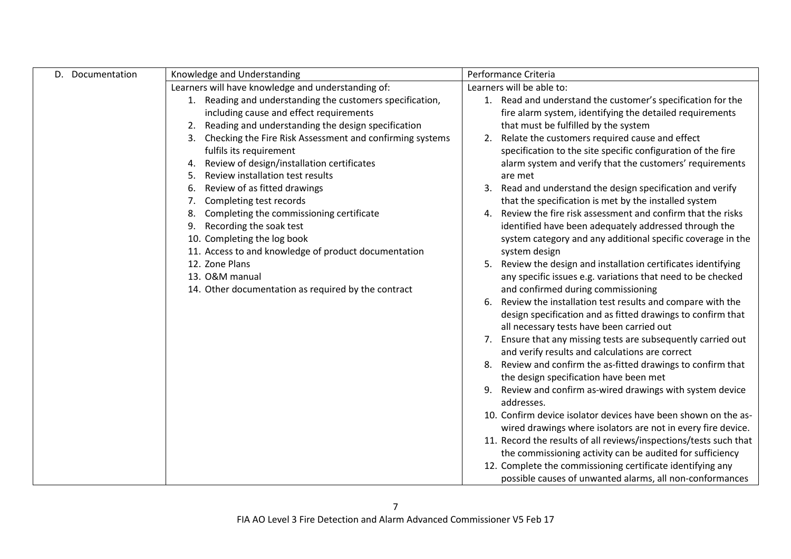| D. Documentation | Knowledge and Understanding                                    | Performance Criteria                                                                                 |
|------------------|----------------------------------------------------------------|------------------------------------------------------------------------------------------------------|
|                  | Learners will have knowledge and understanding of:             | Learners will be able to:                                                                            |
|                  | 1. Reading and understanding the customers specification,      | 1. Read and understand the customer's specification for the                                          |
|                  | including cause and effect requirements                        | fire alarm system, identifying the detailed requirements                                             |
|                  | Reading and understanding the design specification             | that must be fulfilled by the system                                                                 |
|                  | Checking the Fire Risk Assessment and confirming systems<br>3. | 2. Relate the customers required cause and effect                                                    |
|                  | fulfils its requirement                                        | specification to the site specific configuration of the fire                                         |
|                  | Review of design/installation certificates<br>4.               | alarm system and verify that the customers' requirements                                             |
|                  | Review installation test results<br>5.                         | are met                                                                                              |
|                  | Review of as fitted drawings<br>6.                             | 3. Read and understand the design specification and verify                                           |
|                  | Completing test records                                        | that the specification is met by the installed system                                                |
|                  | Completing the commissioning certificate                       | Review the fire risk assessment and confirm that the risks<br>4.                                     |
|                  | Recording the soak test<br>9.                                  | identified have been adequately addressed through the                                                |
|                  | 10. Completing the log book                                    | system category and any additional specific coverage in the                                          |
|                  | 11. Access to and knowledge of product documentation           | system design                                                                                        |
|                  | 12. Zone Plans                                                 | Review the design and installation certificates identifying<br>5.                                    |
|                  | 13. O&M manual                                                 | any specific issues e.g. variations that need to be checked                                          |
|                  | 14. Other documentation as required by the contract            | and confirmed during commissioning                                                                   |
|                  |                                                                | 6. Review the installation test results and compare with the                                         |
|                  |                                                                | design specification and as fitted drawings to confirm that                                          |
|                  |                                                                | all necessary tests have been carried out                                                            |
|                  |                                                                | 7. Ensure that any missing tests are subsequently carried out                                        |
|                  |                                                                | and verify results and calculations are correct                                                      |
|                  |                                                                | 8. Review and confirm the as-fitted drawings to confirm that                                         |
|                  |                                                                | the design specification have been met<br>9. Review and confirm as-wired drawings with system device |
|                  |                                                                | addresses.                                                                                           |
|                  |                                                                | 10. Confirm device isolator devices have been shown on the as-                                       |
|                  |                                                                | wired drawings where isolators are not in every fire device.                                         |
|                  |                                                                | 11. Record the results of all reviews/inspections/tests such that                                    |
|                  |                                                                | the commissioning activity can be audited for sufficiency                                            |
|                  |                                                                | 12. Complete the commissioning certificate identifying any                                           |
|                  |                                                                | possible causes of unwanted alarms, all non-conformances                                             |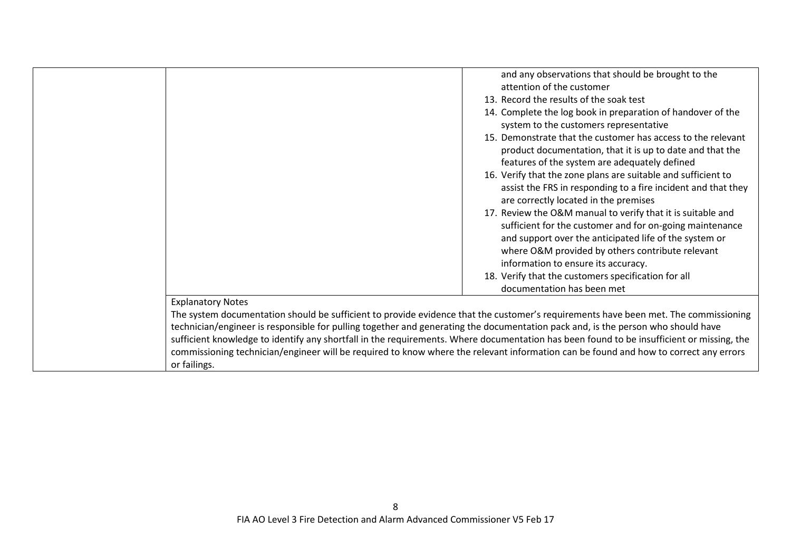|                                                                                                                                           | and any observations that should be brought to the            |
|-------------------------------------------------------------------------------------------------------------------------------------------|---------------------------------------------------------------|
|                                                                                                                                           | attention of the customer                                     |
|                                                                                                                                           | 13. Record the results of the soak test                       |
|                                                                                                                                           | 14. Complete the log book in preparation of handover of the   |
|                                                                                                                                           | system to the customers representative                        |
|                                                                                                                                           | 15. Demonstrate that the customer has access to the relevant  |
|                                                                                                                                           | product documentation, that it is up to date and that the     |
|                                                                                                                                           | features of the system are adequately defined                 |
|                                                                                                                                           | 16. Verify that the zone plans are suitable and sufficient to |
|                                                                                                                                           | assist the FRS in responding to a fire incident and that they |
|                                                                                                                                           | are correctly located in the premises                         |
|                                                                                                                                           | 17. Review the O&M manual to verify that it is suitable and   |
|                                                                                                                                           | sufficient for the customer and for on-going maintenance      |
|                                                                                                                                           | and support over the anticipated life of the system or        |
|                                                                                                                                           | where O&M provided by others contribute relevant              |
|                                                                                                                                           | information to ensure its accuracy.                           |
|                                                                                                                                           |                                                               |
|                                                                                                                                           | 18. Verify that the customers specification for all           |
|                                                                                                                                           | documentation has been met                                    |
| <b>Explanatory Notes</b>                                                                                                                  |                                                               |
| The system documentation should be sufficient to provide evidence that the customer's requirements have been met. The commissioning       |                                                               |
| technician/engineer is responsible for pulling together and generating the documentation pack and, is the person who should have          |                                                               |
| sufficient knowledge to identify any shortfall in the requirements. Where documentation has been found to be insufficient or missing, the |                                                               |
| commissioning technician/engineer will be required to know where the relevant information can be found and how to correct any errors      |                                                               |
| or failings.                                                                                                                              |                                                               |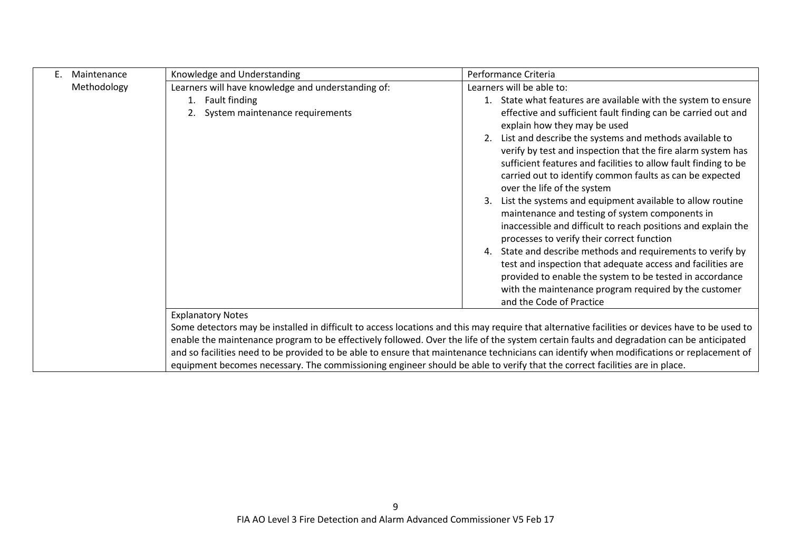| Е.<br>Maintenance | Knowledge and Understanding                        | Performance Criteria                                                                                                                                                                                                                                                                                                                                                                                                                                                                                                                                                   |
|-------------------|----------------------------------------------------|------------------------------------------------------------------------------------------------------------------------------------------------------------------------------------------------------------------------------------------------------------------------------------------------------------------------------------------------------------------------------------------------------------------------------------------------------------------------------------------------------------------------------------------------------------------------|
| Methodology       | Learners will have knowledge and understanding of: | Learners will be able to:                                                                                                                                                                                                                                                                                                                                                                                                                                                                                                                                              |
|                   | 1. Fault finding                                   | 1. State what features are available with the system to ensure                                                                                                                                                                                                                                                                                                                                                                                                                                                                                                         |
|                   | System maintenance requirements                    | effective and sufficient fault finding can be carried out and<br>explain how they may be used                                                                                                                                                                                                                                                                                                                                                                                                                                                                          |
|                   |                                                    | 2. List and describe the systems and methods available to                                                                                                                                                                                                                                                                                                                                                                                                                                                                                                              |
|                   |                                                    | verify by test and inspection that the fire alarm system has<br>sufficient features and facilities to allow fault finding to be<br>carried out to identify common faults as can be expected                                                                                                                                                                                                                                                                                                                                                                            |
|                   |                                                    | over the life of the system                                                                                                                                                                                                                                                                                                                                                                                                                                                                                                                                            |
|                   |                                                    | List the systems and equipment available to allow routine<br>maintenance and testing of system components in<br>inaccessible and difficult to reach positions and explain the<br>processes to verify their correct function<br>4. State and describe methods and requirements to verify by<br>test and inspection that adequate access and facilities are<br>provided to enable the system to be tested in accordance<br>with the maintenance program required by the customer<br>and the Code of Practice                                                             |
|                   | <b>Explanatory Notes</b>                           |                                                                                                                                                                                                                                                                                                                                                                                                                                                                                                                                                                        |
|                   |                                                    | Some detectors may be installed in difficult to access locations and this may require that alternative facilities or devices have to be used to<br>enable the maintenance program to be effectively followed. Over the life of the system certain faults and degradation can be anticipated<br>and so facilities need to be provided to be able to ensure that maintenance technicians can identify when modifications or replacement of<br>equipment becomes necessary. The commissioning engineer should be able to verify that the correct facilities are in place. |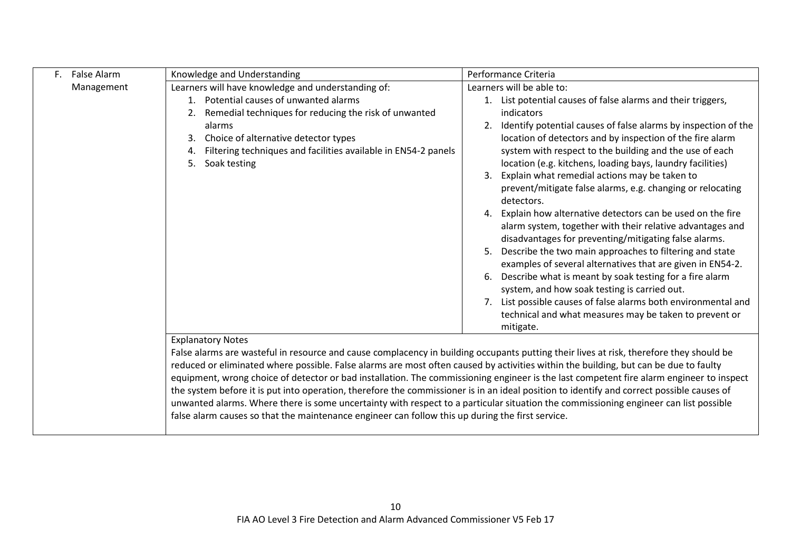| F. False Alarm | Knowledge and Understanding                                                                                                               | Performance Criteria                                                                                                     |  |
|----------------|-------------------------------------------------------------------------------------------------------------------------------------------|--------------------------------------------------------------------------------------------------------------------------|--|
| Management     | Learners will have knowledge and understanding of:                                                                                        | Learners will be able to:                                                                                                |  |
|                | 1. Potential causes of unwanted alarms                                                                                                    | 1. List potential causes of false alarms and their triggers,                                                             |  |
|                | Remedial techniques for reducing the risk of unwanted<br>2.                                                                               | indicators                                                                                                               |  |
|                | alarms                                                                                                                                    | Identify potential causes of false alarms by inspection of the                                                           |  |
|                | Choice of alternative detector types<br>3.                                                                                                | location of detectors and by inspection of the fire alarm                                                                |  |
|                | Filtering techniques and facilities available in EN54-2 panels<br>4.                                                                      | system with respect to the building and the use of each                                                                  |  |
|                | 5.<br>Soak testing                                                                                                                        | location (e.g. kitchens, loading bays, laundry facilities)                                                               |  |
|                |                                                                                                                                           | Explain what remedial actions may be taken to<br>3.                                                                      |  |
|                |                                                                                                                                           | prevent/mitigate false alarms, e.g. changing or relocating<br>detectors.                                                 |  |
|                |                                                                                                                                           | 4. Explain how alternative detectors can be used on the fire                                                             |  |
|                |                                                                                                                                           | alarm system, together with their relative advantages and                                                                |  |
|                |                                                                                                                                           | disadvantages for preventing/mitigating false alarms.                                                                    |  |
|                |                                                                                                                                           | 5. Describe the two main approaches to filtering and state                                                               |  |
|                |                                                                                                                                           | examples of several alternatives that are given in EN54-2.                                                               |  |
|                |                                                                                                                                           | Describe what is meant by soak testing for a fire alarm<br>6.                                                            |  |
|                |                                                                                                                                           | system, and how soak testing is carried out.                                                                             |  |
|                |                                                                                                                                           | 7. List possible causes of false alarms both environmental and<br>technical and what measures may be taken to prevent or |  |
|                |                                                                                                                                           | mitigate.                                                                                                                |  |
|                | <b>Explanatory Notes</b>                                                                                                                  |                                                                                                                          |  |
|                | False alarms are wasteful in resource and cause complacency in building occupants putting their lives at risk, therefore they should be   |                                                                                                                          |  |
|                | reduced or eliminated where possible. False alarms are most often caused by activities within the building, but can be due to faulty      |                                                                                                                          |  |
|                | equipment, wrong choice of detector or bad installation. The commissioning engineer is the last competent fire alarm engineer to inspect  |                                                                                                                          |  |
|                | the system before it is put into operation, therefore the commissioner is in an ideal position to identify and correct possible causes of |                                                                                                                          |  |
|                | unwanted alarms. Where there is some uncertainty with respect to a particular situation the commissioning engineer can list possible      |                                                                                                                          |  |
|                | false alarm causes so that the maintenance engineer can follow this up during the first service.                                          |                                                                                                                          |  |
|                |                                                                                                                                           |                                                                                                                          |  |